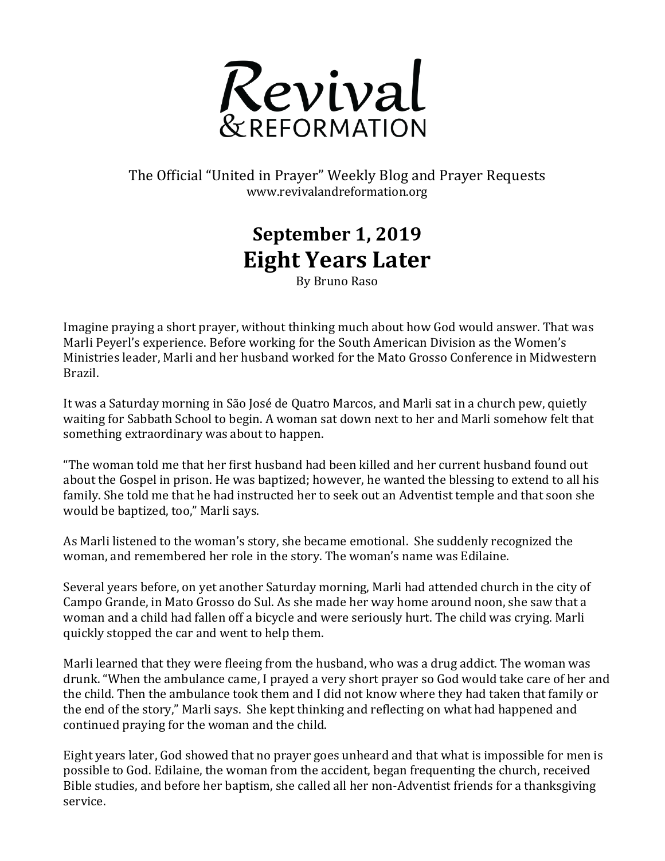

## The Official "United in Prayer" Weekly Blog and Prayer Requests www.revivalandreformation.org

## **September 1, 2019 Eight Years Later**

By Bruno Raso

Imagine praying a short prayer, without thinking much about how God would answer. That was Marli Peyerl's experience. Before working for the South American Division as the Women's Ministries leader, Marli and her husband worked for the Mato Grosso Conference in Midwestern Brazil.

It was a Saturday morning in São José de Quatro Marcos, and Marli sat in a church pew, quietly waiting for Sabbath School to begin. A woman sat down next to her and Marli somehow felt that something extraordinary was about to happen.

"The woman told me that her first husband had been killed and her current husband found out about the Gospel in prison. He was baptized; however, he wanted the blessing to extend to all his family. She told me that he had instructed her to seek out an Adventist temple and that soon she would be baptized, too," Marli says.

As Marli listened to the woman's story, she became emotional. She suddenly recognized the woman, and remembered her role in the story. The woman's name was Edilaine.

Several years before, on yet another Saturday morning, Marli had attended church in the city of Campo Grande, in Mato Grosso do Sul. As she made her way home around noon, she saw that a woman and a child had fallen off a bicycle and were seriously hurt. The child was crying. Marli quickly stopped the car and went to help them.

Marli learned that they were fleeing from the husband, who was a drug addict. The woman was drunk. "When the ambulance came, I prayed a very short prayer so God would take care of her and the child. Then the ambulance took them and I did not know where they had taken that family or the end of the story," Marli says. She kept thinking and reflecting on what had happened and continued praying for the woman and the child.

Eight years later, God showed that no prayer goes unheard and that what is impossible for men is possible to God. Edilaine, the woman from the accident, began frequenting the church, received Bible studies, and before her baptism, she called all her non-Adventist friends for a thanksgiving service.